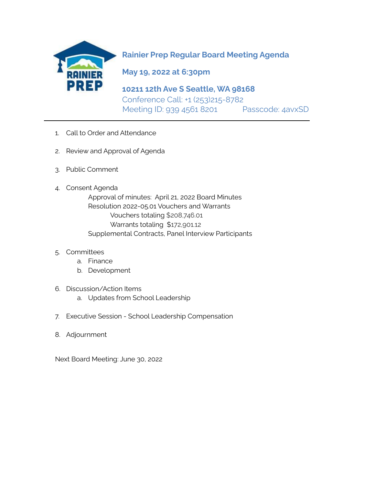

**Rainier Prep Regular Board Meeting Agenda**

**May 19, 2022 at 6:30pm**

**\_\_\_\_\_\_\_\_\_\_\_\_\_\_\_\_\_\_\_\_\_\_\_\_\_\_\_\_\_\_\_\_\_\_\_\_\_\_\_\_\_\_\_\_\_\_\_\_\_\_\_\_\_\_\_\_\_\_\_\_\_\_\_\_\_\_\_\_\_\_\_\_\_\_\_\_\_\_**

**10211 12th Ave S Seattle, WA 98168** Conference Call: +1 (253)215-8782 Meeting ID: 939 4561 8201 Passcode: 4avxSD

- 1. Call to Order and Attendance
- 2. Review and Approval of Agenda
- 3. Public Comment
- 4. Consent Agenda

Approval of minutes: April 21, 2022 Board Minutes Resolution 2022-05.01 Vouchers and Warrants Vouchers totaling \$208,746.01 Warrants totaling \$172,901.12 Supplemental Contracts, Panel Interview Participants

- 5. Committees
	- a. Finance
	- b. Development
- 6. Discussion/Action Items
	- a. Updates from School Leadership
- 7. Executive Session School Leadership Compensation
- 8. Adjournment

Next Board Meeting: June 30, 2022